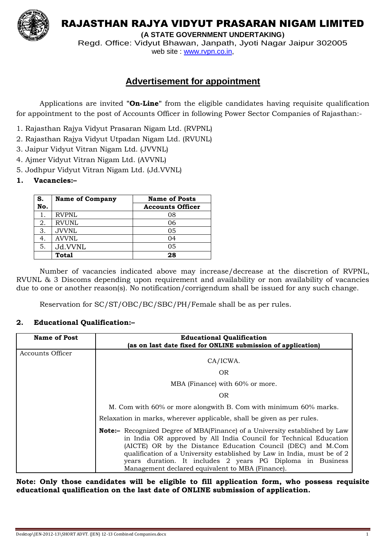

RAJASTHAN RAJYA VIDYUT PRASARAN NIGAM LIMITED

**(A STATE GOVERNMENT UNDERTAKING)**

Regd. Office: Vidyut Bhawan, Janpath, Jyoti Nagar Jaipur 302005 web site : www.rvpn.co.in,

## **Advertisement for appointment**

Applications are invited **"On-Line"** from the eligible candidates having requisite qualification for appointment to the post of Accounts Officer in following Power Sector Companies of Rajasthan:-

- 1. Rajasthan Rajya Vidyut Prasaran Nigam Ltd. (RVPNL)
- 2. Rajasthan Rajya Vidyut Utpadan Nigam Ltd. (RVUNL)
- 3. Jaipur Vidyut Vitran Nigam Ltd. (JVVNL)
- 4. Ajmer Vidyut Vitran Nigam Ltd. (AVVNL)
- 5. Jodhpur Vidyut Vitran Nigam Ltd. (Jd.VVNL)

## **1. Vacancies:–**

| S.  | <b>Name of Company</b> | <b>Name of Posts</b>    |
|-----|------------------------|-------------------------|
| No. |                        | <b>Accounts Officer</b> |
|     | <b>RVPNL</b>           | 08                      |
| 2.  | <b>RVUNL</b>           | 06                      |
| 3.  | <b>JVVNL</b>           | 05                      |
|     | <b>AVVNL</b>           | 04                      |
| 5.  | Jd.VVNL                | 05                      |
|     | <b>Total</b>           | 28                      |

Number of vacancies indicated above may increase/decrease at the discretion of RVPNL, RVUNL & 3 Discoms depending upon requirement and availability or non availability of vacancies due to one or another reason(s). No notification/corrigendum shall be issued for any such change.

Reservation for SC/ST/OBC/BC/SBC/PH/Female shall be as per rules.

## **2. Educational Qualification:–**

| <b>Name of Post</b>     | <b>Educational Qualification</b><br>(as on last date fixed for ONLINE submission of application)                                                                                                                                                                                                                                                                                                                      |  |
|-------------------------|-----------------------------------------------------------------------------------------------------------------------------------------------------------------------------------------------------------------------------------------------------------------------------------------------------------------------------------------------------------------------------------------------------------------------|--|
| <b>Accounts Officer</b> | CA/ICWA.                                                                                                                                                                                                                                                                                                                                                                                                              |  |
|                         | <b>OR</b>                                                                                                                                                                                                                                                                                                                                                                                                             |  |
|                         | MBA (Finance) with 60% or more.                                                                                                                                                                                                                                                                                                                                                                                       |  |
|                         | <b>OR</b>                                                                                                                                                                                                                                                                                                                                                                                                             |  |
|                         | M. Com with 60% or more alongwith B. Com with minimum 60% marks.                                                                                                                                                                                                                                                                                                                                                      |  |
|                         | Relaxation in marks, wherever applicable, shall be given as per rules.                                                                                                                                                                                                                                                                                                                                                |  |
|                         | <b>Note:</b> - Recognized Degree of MBA(Finance) of a University established by Law<br>in India OR approved by All India Council for Technical Education<br>(AICTE) OR by the Distance Education Council (DEC) and M.Com<br>qualification of a University established by Law in India, must be of 2<br>years duration. It includes 2 years PG Diploma in Business<br>Management declared equivalent to MBA (Finance). |  |

**Note: Only those candidates will be eligible to fill application form, who possess requisite educational qualification on the last date of ONLINE submission of application.**